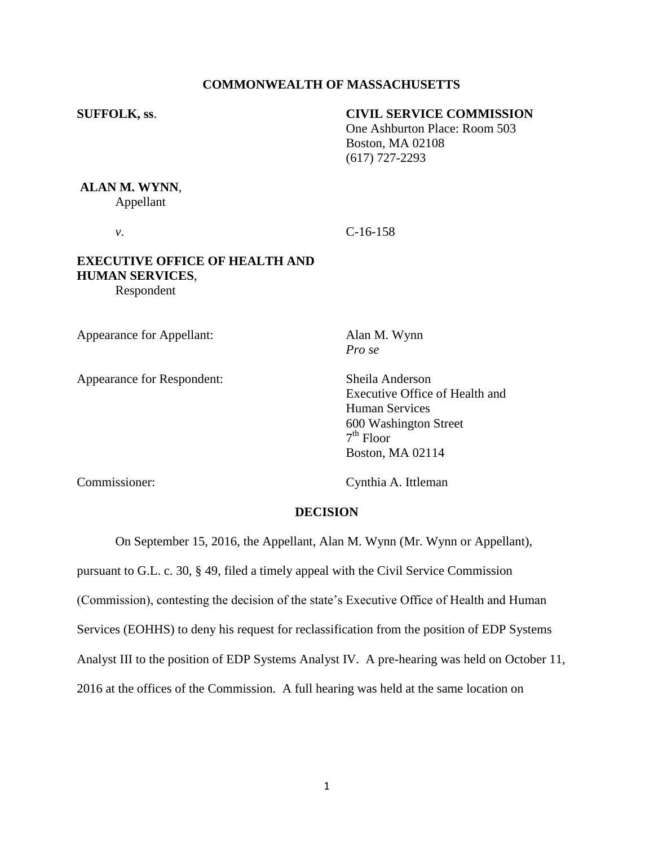#### **COMMONWEALTH OF MASSACHUSETTS**

## **SUFFOLK, ss**. **CIVIL SERVICE COMMISSION**

One Ashburton Place: Room 503 Boston, MA 02108 (617) 727-2293

# **ALAN M. WYNN**,

Appellant

*v*. C-16-158

## **EXECUTIVE OFFICE OF HEALTH AND HUMAN SERVICES**, Respondent

Appearance for Appellant: Alan M. Wynn

Appearance for Respondent: Sheila Anderson

*Pro se*

Executive Office of Health and Human Services 600 Washington Street 7 th Floor Boston, MA 02114

Commissioner: Cynthia A. Ittleman

#### **DECISION**

On September 15, 2016, the Appellant, Alan M. Wynn (Mr. Wynn or Appellant),

pursuant to G.L. c. 30, § 49, filed a timely appeal with the Civil Service Commission

(Commission), contesting the decision of the state's Executive Office of Health and Human

Services (EOHHS) to deny his request for reclassification from the position of EDP Systems

Analyst III to the position of EDP Systems Analyst IV. A pre-hearing was held on October 11,

2016 at the offices of the Commission. A full hearing was held at the same location on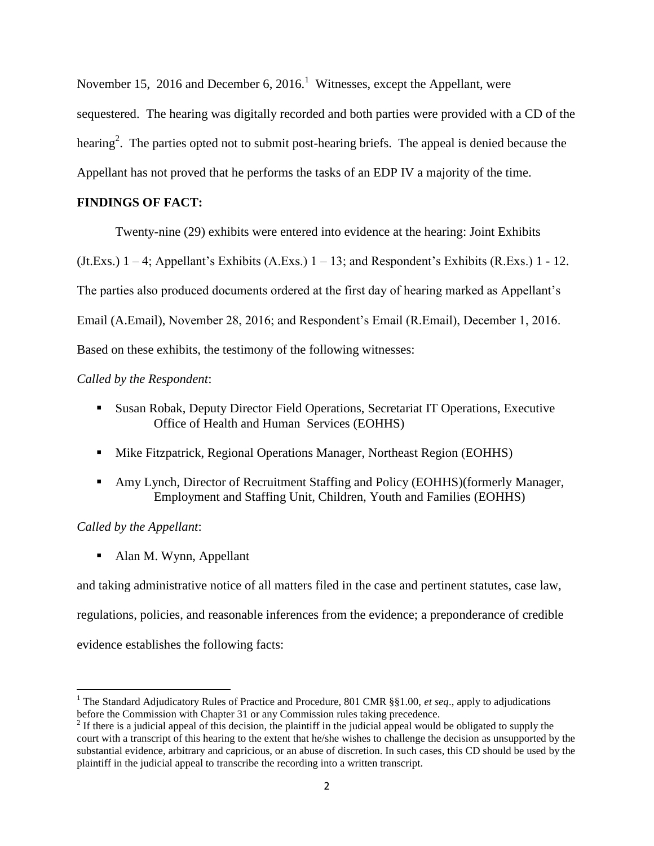November 15, 2016 and December 6, 2016.<sup>1</sup> Witnesses, except the Appellant, were sequestered. The hearing was digitally recorded and both parties were provided with a CD of the hearing<sup>2</sup>. The parties opted not to submit post-hearing briefs. The appeal is denied because the Appellant has not proved that he performs the tasks of an EDP IV a majority of the time.

## **FINDINGS OF FACT:**

Twenty-nine (29) exhibits were entered into evidence at the hearing: Joint Exhibits

(Jt.Exs.)  $1 - 4$ ; Appellant's Exhibits (A.Exs.)  $1 - 13$ ; and Respondent's Exhibits (R.Exs.)  $1 - 12$ .

The parties also produced documents ordered at the first day of hearing marked as Appellant's

Email (A.Email), November 28, 2016; and Respondent's Email (R.Email), December 1, 2016.

Based on these exhibits, the testimony of the following witnesses:

## *Called by the Respondent*:

- Susan Robak, Deputy Director Field Operations, Secretariat IT Operations, Executive Office of Health and Human Services (EOHHS)
- **Mike Fitzpatrick, Regional Operations Manager, Northeast Region (EOHHS)**
- Amy Lynch, Director of Recruitment Staffing and Policy (EOHHS)(formerly Manager, Employment and Staffing Unit, Children, Youth and Families (EOHHS)

## *Called by the Appellant*:

l

• Alan M. Wynn, Appellant

and taking administrative notice of all matters filed in the case and pertinent statutes, case law, regulations, policies, and reasonable inferences from the evidence; a preponderance of credible evidence establishes the following facts:

<sup>1</sup> The Standard Adjudicatory Rules of Practice and Procedure, 801 CMR §§1.00, *et seq*., apply to adjudications before the Commission with Chapter 31 or any Commission rules taking precedence.

 $2<sup>2</sup>$  If there is a judicial appeal of this decision, the plaintiff in the judicial appeal would be obligated to supply the court with a transcript of this hearing to the extent that he/she wishes to challenge the decision as unsupported by the substantial evidence, arbitrary and capricious, or an abuse of discretion. In such cases, this CD should be used by the plaintiff in the judicial appeal to transcribe the recording into a written transcript.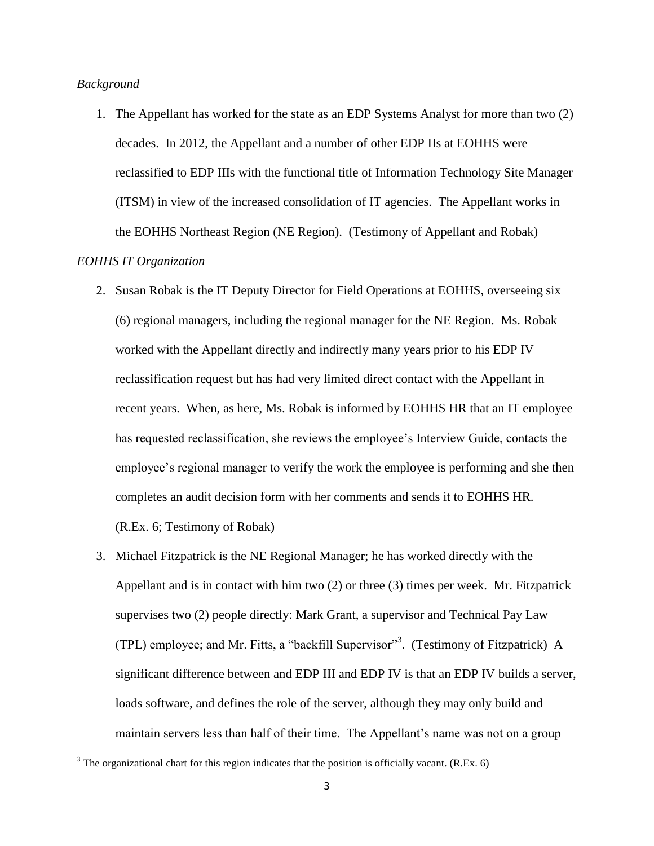#### *Background*

1. The Appellant has worked for the state as an EDP Systems Analyst for more than two (2) decades. In 2012, the Appellant and a number of other EDP IIs at EOHHS were reclassified to EDP IIIs with the functional title of Information Technology Site Manager (ITSM) in view of the increased consolidation of IT agencies. The Appellant works in the EOHHS Northeast Region (NE Region). (Testimony of Appellant and Robak)

## *EOHHS IT Organization*

- 2. Susan Robak is the IT Deputy Director for Field Operations at EOHHS, overseeing six (6) regional managers, including the regional manager for the NE Region. Ms. Robak worked with the Appellant directly and indirectly many years prior to his EDP IV reclassification request but has had very limited direct contact with the Appellant in recent years. When, as here, Ms. Robak is informed by EOHHS HR that an IT employee has requested reclassification, she reviews the employee's Interview Guide, contacts the employee's regional manager to verify the work the employee is performing and she then completes an audit decision form with her comments and sends it to EOHHS HR. (R.Ex. 6; Testimony of Robak)
- 3. Michael Fitzpatrick is the NE Regional Manager; he has worked directly with the Appellant and is in contact with him two (2) or three (3) times per week. Mr. Fitzpatrick supervises two (2) people directly: Mark Grant, a supervisor and Technical Pay Law (TPL) employee; and Mr. Fitts, a "backfill Supervisor"<sup>3</sup> . (Testimony of Fitzpatrick) A significant difference between and EDP III and EDP IV is that an EDP IV builds a server, loads software, and defines the role of the server, although they may only build and maintain servers less than half of their time. The Appellant's name was not on a group

<sup>&</sup>lt;sup>3</sup> The organizational chart for this region indicates that the position is officially vacant. (R.Ex. 6)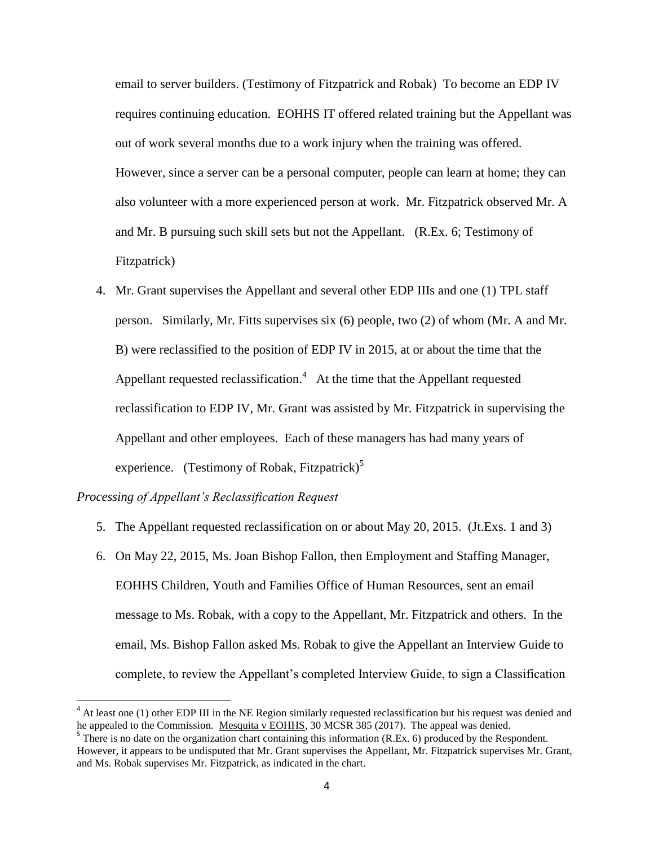email to server builders. (Testimony of Fitzpatrick and Robak) To become an EDP IV requires continuing education. EOHHS IT offered related training but the Appellant was out of work several months due to a work injury when the training was offered. However, since a server can be a personal computer, people can learn at home; they can also volunteer with a more experienced person at work. Mr. Fitzpatrick observed Mr. A and Mr. B pursuing such skill sets but not the Appellant. (R.Ex. 6; Testimony of Fitzpatrick)

4. Mr. Grant supervises the Appellant and several other EDP IIIs and one (1) TPL staff person. Similarly, Mr. Fitts supervises six (6) people, two (2) of whom (Mr. A and Mr. B) were reclassified to the position of EDP IV in 2015, at or about the time that the Appellant requested reclassification.<sup>4</sup> At the time that the Appellant requested reclassification to EDP IV, Mr. Grant was assisted by Mr. Fitzpatrick in supervising the Appellant and other employees. Each of these managers has had many years of experience. (Testimony of Robak, Fitzpatrick)<sup>5</sup>

#### *Processing of Appellant's Reclassification Request*

 $\overline{a}$ 

- 5. The Appellant requested reclassification on or about May 20, 2015. (Jt.Exs. 1 and 3)
- 6. On May 22, 2015, Ms. Joan Bishop Fallon, then Employment and Staffing Manager, EOHHS Children, Youth and Families Office of Human Resources, sent an email message to Ms. Robak, with a copy to the Appellant, Mr. Fitzpatrick and others. In the email, Ms. Bishop Fallon asked Ms. Robak to give the Appellant an Interview Guide to complete, to review the Appellant's completed Interview Guide, to sign a Classification

<sup>&</sup>lt;sup>4</sup> At least one (1) other EDP III in the NE Region similarly requested reclassification but his request was denied and he appealed to the Commission. Mesquita v EOHHS, 30 MCSR 385 (2017). The appeal was denied.

 $5$  There is no date on the organization chart containing this information (R.Ex. 6) produced by the Respondent. However, it appears to be undisputed that Mr. Grant supervises the Appellant, Mr. Fitzpatrick supervises Mr. Grant, and Ms. Robak supervises Mr. Fitzpatrick, as indicated in the chart.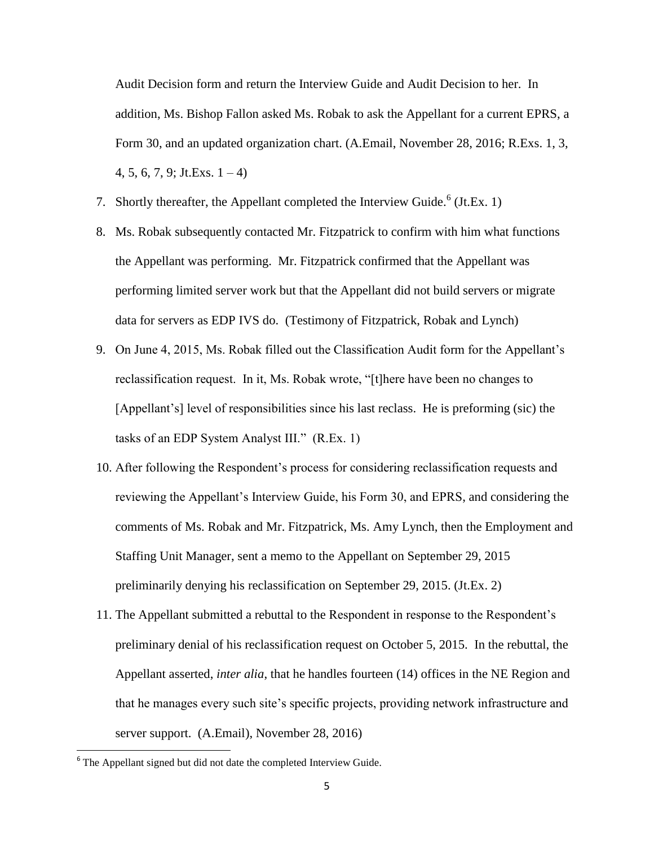Audit Decision form and return the Interview Guide and Audit Decision to her. In addition, Ms. Bishop Fallon asked Ms. Robak to ask the Appellant for a current EPRS, a Form 30, and an updated organization chart. (A.Email, November 28, 2016; R.Exs. 1, 3,  $4, 5, 6, 7, 9$ ; Jt.Exs.  $1 - 4$ )

- 7. Shortly thereafter, the Appellant completed the Interview Guide.<sup>6</sup> (Jt.Ex. 1)
- 8. Ms. Robak subsequently contacted Mr. Fitzpatrick to confirm with him what functions the Appellant was performing. Mr. Fitzpatrick confirmed that the Appellant was performing limited server work but that the Appellant did not build servers or migrate data for servers as EDP IVS do. (Testimony of Fitzpatrick, Robak and Lynch)
- 9. On June 4, 2015, Ms. Robak filled out the Classification Audit form for the Appellant's reclassification request. In it, Ms. Robak wrote, "[t]here have been no changes to [Appellant's] level of responsibilities since his last reclass. He is preforming (sic) the tasks of an EDP System Analyst III." (R.Ex. 1)
- 10. After following the Respondent's process for considering reclassification requests and reviewing the Appellant's Interview Guide, his Form 30, and EPRS, and considering the comments of Ms. Robak and Mr. Fitzpatrick, Ms. Amy Lynch, then the Employment and Staffing Unit Manager, sent a memo to the Appellant on September 29, 2015 preliminarily denying his reclassification on September 29, 2015. (Jt.Ex. 2)
- 11. The Appellant submitted a rebuttal to the Respondent in response to the Respondent's preliminary denial of his reclassification request on October 5, 2015. In the rebuttal, the Appellant asserted, *inter alia*, that he handles fourteen (14) offices in the NE Region and that he manages every such site's specific projects, providing network infrastructure and server support. (A.Email), November 28, 2016)

 $6$  The Appellant signed but did not date the completed Interview Guide.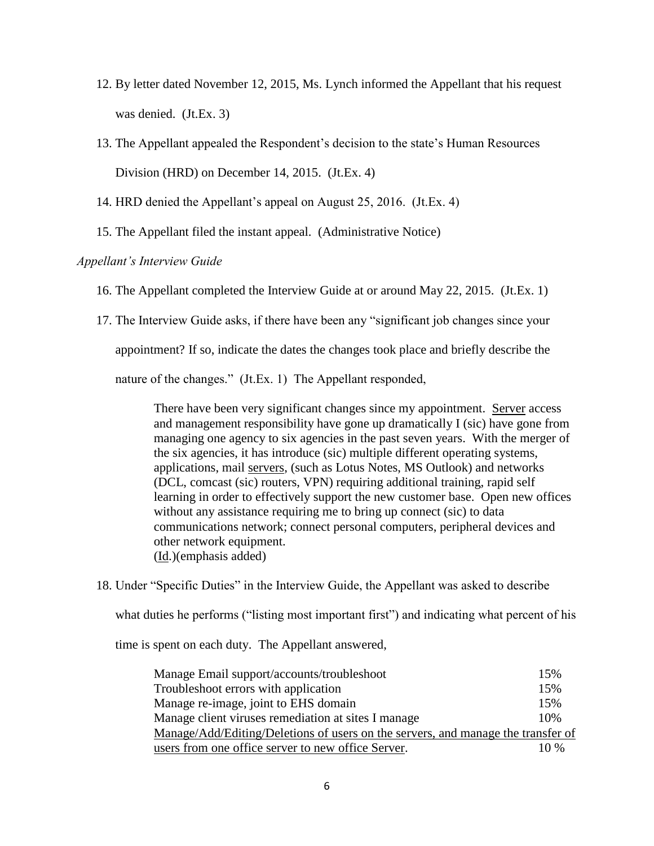- 12. By letter dated November 12, 2015, Ms. Lynch informed the Appellant that his request was denied. (Jt.Ex. 3)
- 13. The Appellant appealed the Respondent's decision to the state's Human Resources Division (HRD) on December 14, 2015. (Jt.Ex. 4)
- 14. HRD denied the Appellant's appeal on August 25, 2016. (Jt.Ex. 4)
- 15. The Appellant filed the instant appeal. (Administrative Notice)

## *Appellant's Interview Guide*

- 16. The Appellant completed the Interview Guide at or around May 22, 2015. (Jt.Ex. 1)
- 17. The Interview Guide asks, if there have been any "significant job changes since your

appointment? If so, indicate the dates the changes took place and briefly describe the

nature of the changes." (Jt.Ex. 1) The Appellant responded,

There have been very significant changes since my appointment. Server access and management responsibility have gone up dramatically I (sic) have gone from managing one agency to six agencies in the past seven years. With the merger of the six agencies, it has introduce (sic) multiple different operating systems, applications, mail servers, (such as Lotus Notes, MS Outlook) and networks (DCL, comcast (sic) routers, VPN) requiring additional training, rapid self learning in order to effectively support the new customer base. Open new offices without any assistance requiring me to bring up connect (sic) to data communications network; connect personal computers, peripheral devices and other network equipment. (Id.)(emphasis added)

18. Under "Specific Duties" in the Interview Guide, the Appellant was asked to describe

what duties he performs ("listing most important first") and indicating what percent of his

time is spent on each duty. The Appellant answered,

| Manage Email support/accounts/troubleshoot                                       | 15%    |
|----------------------------------------------------------------------------------|--------|
| Troubleshoot errors with application                                             | 15%    |
| Manage re-image, joint to EHS domain                                             | 15%    |
| Manage client viruses remediation at sites I manage                              | 10%    |
| Manage/Add/Editing/Deletions of users on the servers, and manage the transfer of |        |
| users from one office server to new office Server.                               | $10\%$ |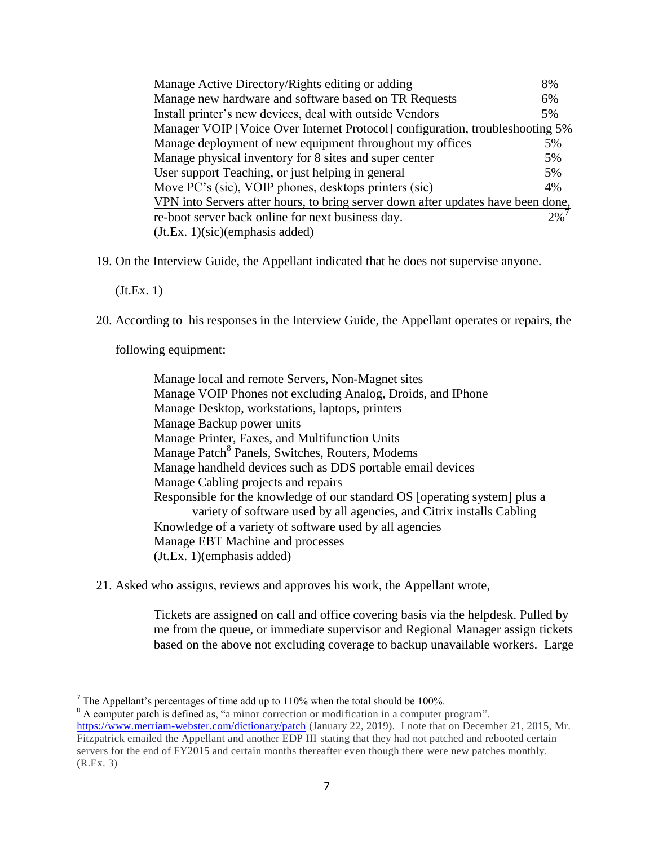| Manage Active Directory/Rights editing or adding                                 | 8% |  |
|----------------------------------------------------------------------------------|----|--|
| Manage new hardware and software based on TR Requests                            | 6% |  |
| Install printer's new devices, deal with outside Vendors                         | 5% |  |
| Manager VOIP [Voice Over Internet Protocol] configuration, troubleshooting 5%    |    |  |
| Manage deployment of new equipment throughout my offices                         | 5% |  |
| Manage physical inventory for 8 sites and super center                           | 5% |  |
| User support Teaching, or just helping in general                                | 5% |  |
| Move PC's (sic), VOIP phones, desktops printers (sic)                            | 4% |  |
| VPN into Servers after hours, to bring server down after updates have been done, |    |  |
| re-boot server back online for next business day.                                | 2% |  |
| $J_t.E_x. 1)(sic)(emphasis added)$                                               |    |  |

19. On the Interview Guide, the Appellant indicated that he does not supervise anyone.

(Jt.Ex. 1)

20. According to his responses in the Interview Guide, the Appellant operates or repairs, the

following equipment:

Manage local and remote Servers, Non-Magnet sites Manage VOIP Phones not excluding Analog, Droids, and IPhone Manage Desktop, workstations, laptops, printers Manage Backup power units Manage Printer, Faxes, and Multifunction Units Manage Patch<sup>8</sup> Panels, Switches, Routers, Modems Manage handheld devices such as DDS portable email devices Manage Cabling projects and repairs Responsible for the knowledge of our standard OS [operating system] plus a variety of software used by all agencies, and Citrix installs Cabling Knowledge of a variety of software used by all agencies Manage EBT Machine and processes (Jt.Ex. 1)(emphasis added)

21. Asked who assigns, reviews and approves his work, the Appellant wrote,

Tickets are assigned on call and office covering basis via the helpdesk. Pulled by me from the queue, or immediate supervisor and Regional Manager assign tickets based on the above not excluding coverage to backup unavailable workers. Large

<sup>&</sup>lt;sup>7</sup> The Appellant's percentages of time add up to 110% when the total should be 100%.

<sup>&</sup>lt;sup>8</sup> A computer patch is defined as, "a minor correction or modification in a computer program".

<https://www.merriam-webster.com/dictionary/patch> (January 22, 2019). I note that on December 21, 2015, Mr. Fitzpatrick emailed the Appellant and another EDP III stating that they had not patched and rebooted certain servers for the end of FY2015 and certain months thereafter even though there were new patches monthly. (R.Ex. 3)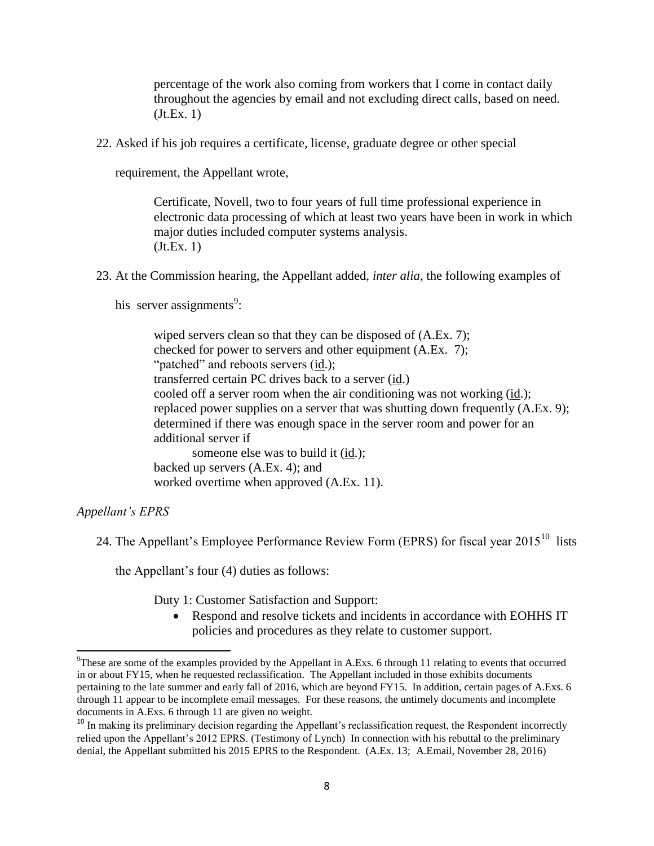percentage of the work also coming from workers that I come in contact daily throughout the agencies by email and not excluding direct calls, based on need. (Jt.Ex. 1)

22. Asked if his job requires a certificate, license, graduate degree or other special

requirement, the Appellant wrote,

Certificate, Novell, two to four years of full time professional experience in electronic data processing of which at least two years have been in work in which major duties included computer systems analysis. (Jt.Ex. 1)

23. At the Commission hearing, the Appellant added, *inter alia*, the following examples of

his server assignments<sup>9</sup>:

wiped servers clean so that they can be disposed of (A.Ex. 7); checked for power to servers and other equipment (A.Ex. 7); "patched" and reboots servers (id.); transferred certain PC drives back to a server (id.) cooled off a server room when the air conditioning was not working (id.); replaced power supplies on a server that was shutting down frequently (A.Ex. 9); determined if there was enough space in the server room and power for an additional server if someone else was to build it (id.); backed up servers (A.Ex. 4); and

worked overtime when approved (A.Ex. 11).

*Appellant's EPRS*

l

24. The Appellant's Employee Performance Review Form (EPRS) for fiscal year  $2015^{10}$  lists

the Appellant's four (4) duties as follows:

Duty 1: Customer Satisfaction and Support:

 Respond and resolve tickets and incidents in accordance with EOHHS IT policies and procedures as they relate to customer support.

<sup>&</sup>lt;sup>9</sup>These are some of the examples provided by the Appellant in A.Exs. 6 through 11 relating to events that occurred in or about FY15, when he requested reclassification. The Appellant included in those exhibits documents pertaining to the late summer and early fall of 2016, which are beyond FY15. In addition, certain pages of A.Exs. 6 through 11 appear to be incomplete email messages. For these reasons, the untimely documents and incomplete documents in A.Exs. 6 through 11 are given no weight.

<sup>&</sup>lt;sup>10</sup> In making its preliminary decision regarding the Appellant's reclassification request, the Respondent incorrectly relied upon the Appellant's 2012 EPRS. (Testimony of Lynch) In connection with his rebuttal to the preliminary denial, the Appellant submitted his 2015 EPRS to the Respondent. (A.Ex. 13; A.Email, November 28, 2016)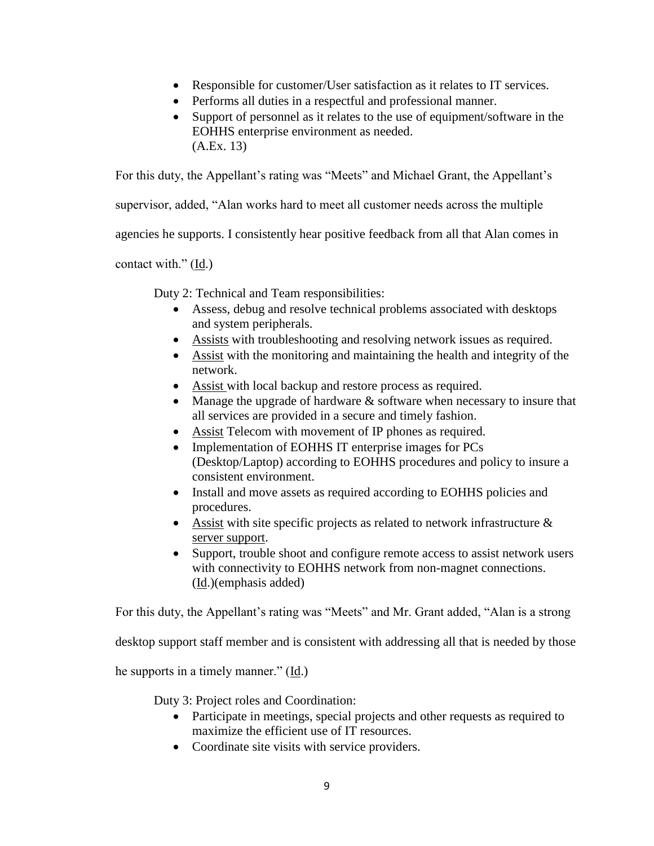- Responsible for customer/User satisfaction as it relates to IT services.
- Performs all duties in a respectful and professional manner.
- Support of personnel as it relates to the use of equipment/software in the EOHHS enterprise environment as needed. (A.Ex. 13)

For this duty, the Appellant's rating was "Meets" and Michael Grant, the Appellant's

supervisor, added, "Alan works hard to meet all customer needs across the multiple

agencies he supports. I consistently hear positive feedback from all that Alan comes in

contact with."  $(\underline{Id})$ 

Duty 2: Technical and Team responsibilities:

- Assess, debug and resolve technical problems associated with desktops and system peripherals.
- Assists with troubleshooting and resolving network issues as required.
- Assist with the monitoring and maintaining the health and integrity of the network.
- Assist with local backup and restore process as required.
- Manage the upgrade of hardware  $\&$  software when necessary to insure that all services are provided in a secure and timely fashion.
- Assist Telecom with movement of IP phones as required.
- Implementation of EOHHS IT enterprise images for PCs (Desktop/Laptop) according to EOHHS procedures and policy to insure a consistent environment.
- Install and move assets as required according to EOHHS policies and procedures.
- Assist with site specific projects as related to network infrastructure  $\&$ server support.
- Support, trouble shoot and configure remote access to assist network users with connectivity to EOHHS network from non-magnet connections. (Id.)(emphasis added)

For this duty, the Appellant's rating was "Meets" and Mr. Grant added, "Alan is a strong

desktop support staff member and is consistent with addressing all that is needed by those

he supports in a timely manner." (Id.)

Duty 3: Project roles and Coordination:

- Participate in meetings, special projects and other requests as required to maximize the efficient use of IT resources.
- Coordinate site visits with service providers.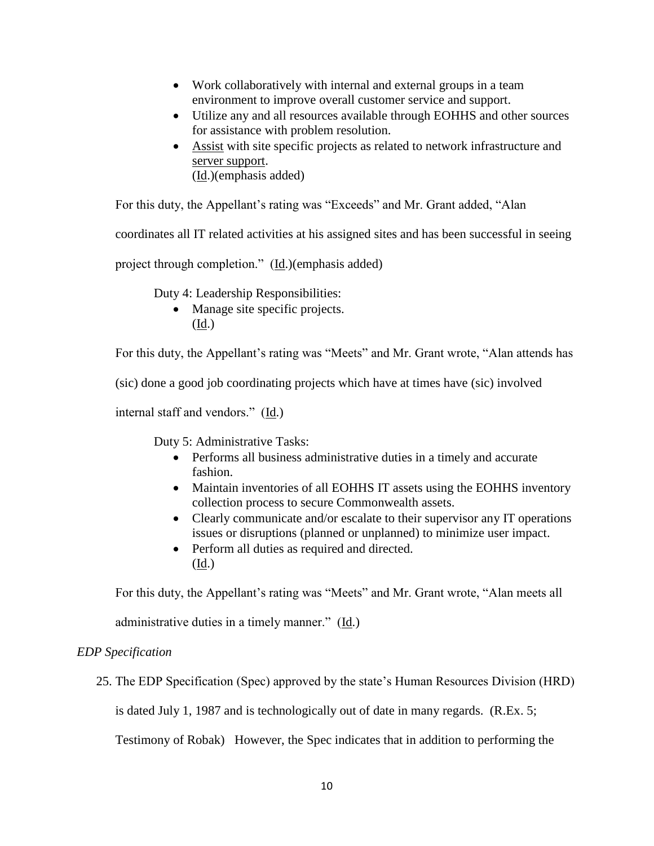- Work collaboratively with internal and external groups in a team environment to improve overall customer service and support.
- Utilize any and all resources available through EOHHS and other sources for assistance with problem resolution.
- Assist with site specific projects as related to network infrastructure and server support. (Id.)(emphasis added)

For this duty, the Appellant's rating was "Exceeds" and Mr. Grant added, "Alan

coordinates all IT related activities at his assigned sites and has been successful in seeing

project through completion." (Id.)(emphasis added)

Duty 4: Leadership Responsibilities:

• Manage site specific projects. (Id.)

For this duty, the Appellant's rating was "Meets" and Mr. Grant wrote, "Alan attends has

(sic) done a good job coordinating projects which have at times have (sic) involved

internal staff and vendors." (Id.)

Duty 5: Administrative Tasks:

- Performs all business administrative duties in a timely and accurate fashion.
- Maintain inventories of all EOHHS IT assets using the EOHHS inventory collection process to secure Commonwealth assets.
- Clearly communicate and/or escalate to their supervisor any IT operations issues or disruptions (planned or unplanned) to minimize user impact.
- Perform all duties as required and directed. (Id.)

For this duty, the Appellant's rating was "Meets" and Mr. Grant wrote, "Alan meets all

administrative duties in a timely manner." (Id.)

## *EDP Specification*

25. The EDP Specification (Spec) approved by the state's Human Resources Division (HRD)

is dated July 1, 1987 and is technologically out of date in many regards. (R.Ex. 5;

Testimony of Robak) However, the Spec indicates that in addition to performing the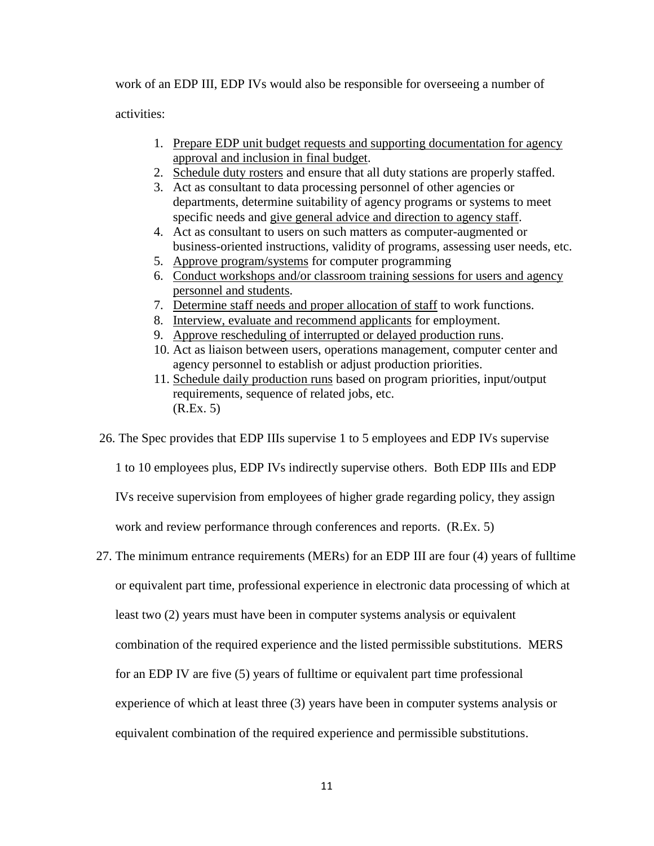work of an EDP III, EDP IVs would also be responsible for overseeing a number of

activities:

- 1. Prepare EDP unit budget requests and supporting documentation for agency approval and inclusion in final budget.
- 2. Schedule duty rosters and ensure that all duty stations are properly staffed.
- 3. Act as consultant to data processing personnel of other agencies or departments, determine suitability of agency programs or systems to meet specific needs and give general advice and direction to agency staff.
- 4. Act as consultant to users on such matters as computer-augmented or business-oriented instructions, validity of programs, assessing user needs, etc.
- 5. Approve program/systems for computer programming
- 6. Conduct workshops and/or classroom training sessions for users and agency personnel and students.
- 7. Determine staff needs and proper allocation of staff to work functions.
- 8. Interview, evaluate and recommend applicants for employment.
- 9. Approve rescheduling of interrupted or delayed production runs.
- 10. Act as liaison between users, operations management, computer center and agency personnel to establish or adjust production priorities.
- 11. Schedule daily production runs based on program priorities, input/output requirements, sequence of related jobs, etc. (R.Ex. 5)

26. The Spec provides that EDP IIIs supervise 1 to 5 employees and EDP IVs supervise

1 to 10 employees plus, EDP IVs indirectly supervise others. Both EDP IIIs and EDP

IVs receive supervision from employees of higher grade regarding policy, they assign

work and review performance through conferences and reports. (R.Ex. 5)

27. The minimum entrance requirements (MERs) for an EDP III are four (4) years of fulltime or equivalent part time, professional experience in electronic data processing of which at least two (2) years must have been in computer systems analysis or equivalent combination of the required experience and the listed permissible substitutions. MERS for an EDP IV are five (5) years of fulltime or equivalent part time professional experience of which at least three (3) years have been in computer systems analysis or equivalent combination of the required experience and permissible substitutions.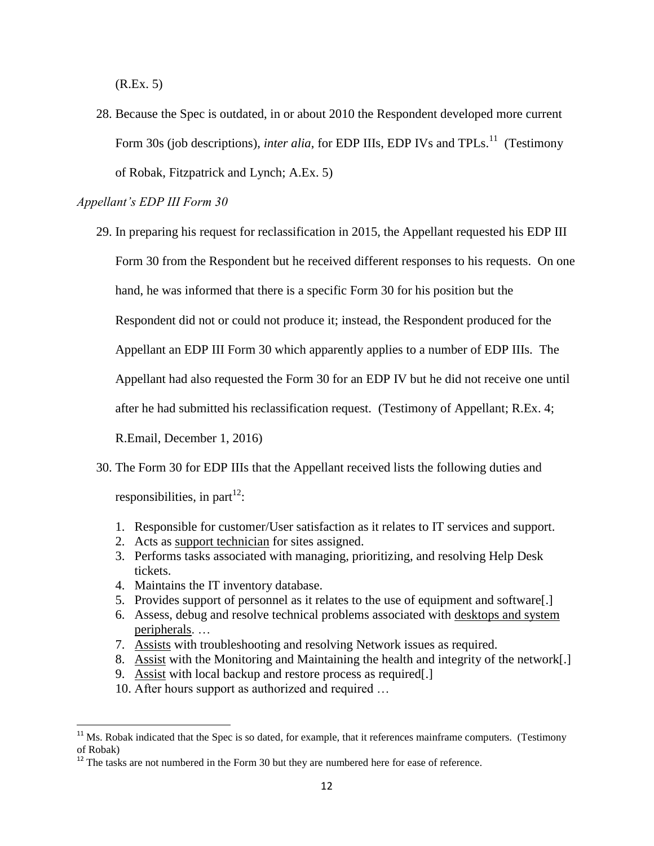(R.Ex. 5)

28. Because the Spec is outdated, in or about 2010 the Respondent developed more current Form 30s (job descriptions), *inter alia*, for EDP IIIs, EDP IVs and TPLs.<sup>11</sup> (Testimony of Robak, Fitzpatrick and Lynch; A.Ex. 5)

#### *Appellant's EDP III Form 30*

29. In preparing his request for reclassification in 2015, the Appellant requested his EDP III

Form 30 from the Respondent but he received different responses to his requests. On one

hand, he was informed that there is a specific Form 30 for his position but the

Respondent did not or could not produce it; instead, the Respondent produced for the

Appellant an EDP III Form 30 which apparently applies to a number of EDP IIIs. The

Appellant had also requested the Form 30 for an EDP IV but he did not receive one until

after he had submitted his reclassification request. (Testimony of Appellant; R.Ex. 4;

R.Email, December 1, 2016)

- 30. The Form 30 for EDP IIIs that the Appellant received lists the following duties and responsibilities, in part<sup>12</sup>:
	- 1. Responsible for customer/User satisfaction as it relates to IT services and support.
	- 2. Acts as support technician for sites assigned.
	- 3. Performs tasks associated with managing, prioritizing, and resolving Help Desk tickets.
	- 4. Maintains the IT inventory database.

- 5. Provides support of personnel as it relates to the use of equipment and software[.]
- 6. Assess, debug and resolve technical problems associated with desktops and system peripherals. …
- 7. Assists with troubleshooting and resolving Network issues as required.
- 8. Assist with the Monitoring and Maintaining the health and integrity of the network[.]
- 9. Assist with local backup and restore process as required[.]
- 10. After hours support as authorized and required …

 $11$  Ms. Robak indicated that the Spec is so dated, for example, that it references mainframe computers. (Testimony of Robak)

 $12$ <sup>12</sup> The tasks are not numbered in the Form 30 but they are numbered here for ease of reference.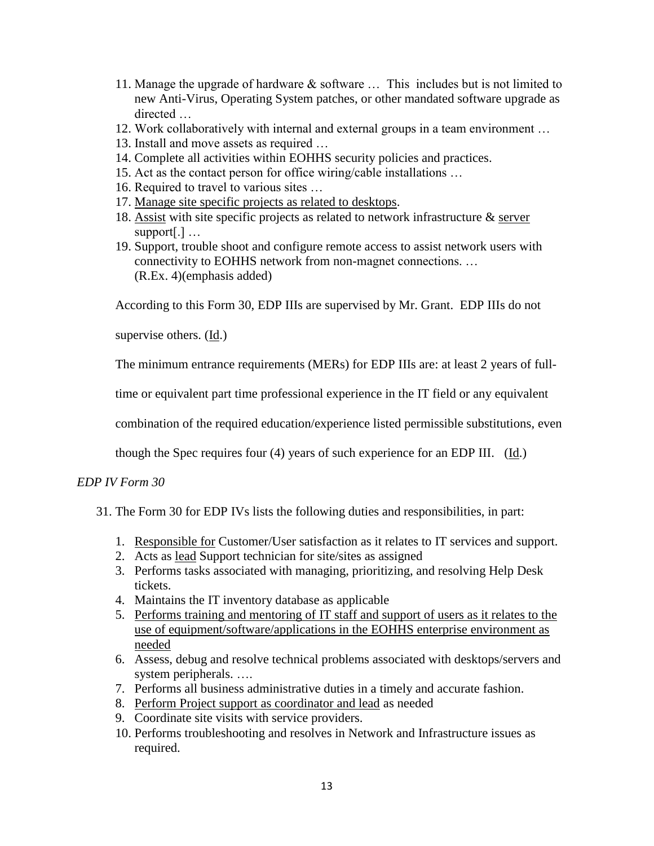- 11. Manage the upgrade of hardware & software … This includes but is not limited to new Anti-Virus, Operating System patches, or other mandated software upgrade as directed
- 12. Work collaboratively with internal and external groups in a team environment …
- 13. Install and move assets as required …
- 14. Complete all activities within EOHHS security policies and practices.
- 15. Act as the contact person for office wiring/cable installations …
- 16. Required to travel to various sites …
- 17. Manage site specific projects as related to desktops.
- 18. Assist with site specific projects as related to network infrastructure & server support[.] …
- 19. Support, trouble shoot and configure remote access to assist network users with connectivity to EOHHS network from non-magnet connections. … (R.Ex. 4)(emphasis added)

According to this Form 30, EDP IIIs are supervised by Mr. Grant. EDP IIIs do not

supervise others. (Id.)

The minimum entrance requirements (MERs) for EDP IIIs are: at least 2 years of full-

time or equivalent part time professional experience in the IT field or any equivalent

combination of the required education/experience listed permissible substitutions, even

though the Spec requires four (4) years of such experience for an EDP III. (Id.)

## *EDP IV Form 30*

- 31. The Form 30 for EDP IVs lists the following duties and responsibilities, in part:
	- 1. Responsible for Customer/User satisfaction as it relates to IT services and support.
	- 2. Acts as lead Support technician for site/sites as assigned
	- 3. Performs tasks associated with managing, prioritizing, and resolving Help Desk tickets.
	- 4. Maintains the IT inventory database as applicable
	- 5. Performs training and mentoring of IT staff and support of users as it relates to the use of equipment/software/applications in the EOHHS enterprise environment as needed
	- 6. Assess, debug and resolve technical problems associated with desktops/servers and system peripherals. ….
	- 7. Performs all business administrative duties in a timely and accurate fashion.
	- 8. Perform Project support as coordinator and lead as needed
	- 9. Coordinate site visits with service providers.
	- 10. Performs troubleshooting and resolves in Network and Infrastructure issues as required.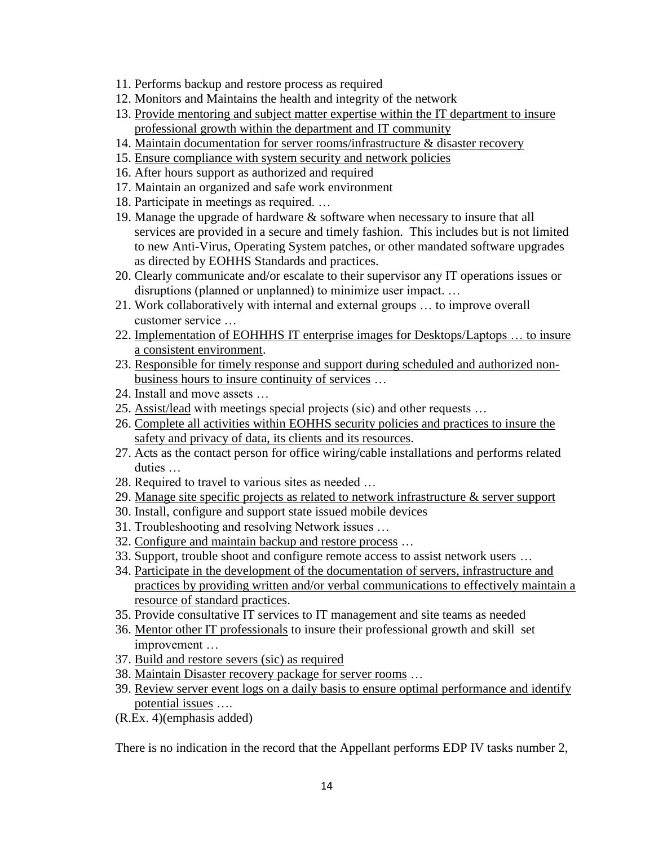- 11. Performs backup and restore process as required
- 12. Monitors and Maintains the health and integrity of the network
- 13. Provide mentoring and subject matter expertise within the IT department to insure professional growth within the department and IT community
- 14. Maintain documentation for server rooms/infrastructure & disaster recovery
- 15. Ensure compliance with system security and network policies
- 16. After hours support as authorized and required
- 17. Maintain an organized and safe work environment
- 18. Participate in meetings as required. …
- 19. Manage the upgrade of hardware & software when necessary to insure that all services are provided in a secure and timely fashion. This includes but is not limited to new Anti-Virus, Operating System patches, or other mandated software upgrades as directed by EOHHS Standards and practices.
- 20. Clearly communicate and/or escalate to their supervisor any IT operations issues or disruptions (planned or unplanned) to minimize user impact. …
- 21. Work collaboratively with internal and external groups … to improve overall customer service …
- 22. Implementation of EOHHHS IT enterprise images for Desktops/Laptops … to insure a consistent environment.
- 23. Responsible for timely response and support during scheduled and authorized nonbusiness hours to insure continuity of services …
- 24. Install and move assets …
- 25. Assist/lead with meetings special projects (sic) and other requests …
- 26. Complete all activities within EOHHS security policies and practices to insure the safety and privacy of data, its clients and its resources.
- 27. Acts as the contact person for office wiring/cable installations and performs related duties …
- 28. Required to travel to various sites as needed …
- 29. Manage site specific projects as related to network infrastructure  $\&$  server support
- 30. Install, configure and support state issued mobile devices
- 31. Troubleshooting and resolving Network issues …
- 32. Configure and maintain backup and restore process …
- 33. Support, trouble shoot and configure remote access to assist network users …
- 34. Participate in the development of the documentation of servers, infrastructure and practices by providing written and/or verbal communications to effectively maintain a resource of standard practices.
- 35. Provide consultative IT services to IT management and site teams as needed
- 36. Mentor other IT professionals to insure their professional growth and skill set improvement …
- 37. Build and restore severs (sic) as required
- 38. Maintain Disaster recovery package for server rooms …
- 39. Review server event logs on a daily basis to ensure optimal performance and identify potential issues ….
- (R.Ex. 4)(emphasis added)

There is no indication in the record that the Appellant performs EDP IV tasks number 2,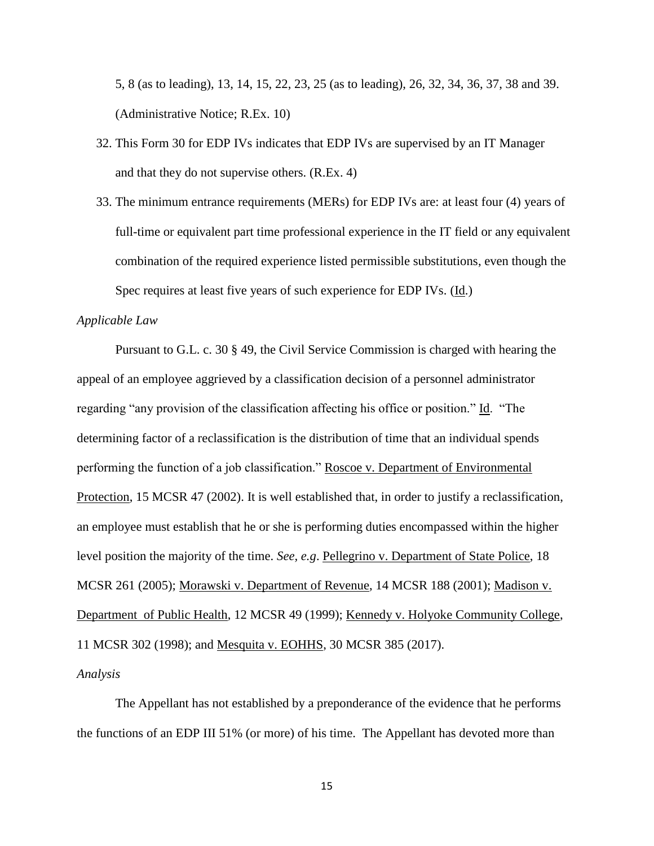5, 8 (as to leading), 13, 14, 15, 22, 23, 25 (as to leading), 26, 32, 34, 36, 37, 38 and 39. (Administrative Notice; R.Ex. 10)

- 32. This Form 30 for EDP IVs indicates that EDP IVs are supervised by an IT Manager and that they do not supervise others. (R.Ex. 4)
- 33. The minimum entrance requirements (MERs) for EDP IVs are: at least four (4) years of full-time or equivalent part time professional experience in the IT field or any equivalent combination of the required experience listed permissible substitutions, even though the Spec requires at least five years of such experience for EDP IVs. (Id.)

#### *Applicable Law*

Pursuant to G.L. c. 30 § 49, the Civil Service Commission is charged with hearing the appeal of an employee aggrieved by a classification decision of a personnel administrator regarding "any provision of the classification affecting his office or position." Id. "The determining factor of a reclassification is the distribution of time that an individual spends performing the function of a job classification." Roscoe v. Department of Environmental Protection, 15 MCSR 47 (2002). It is well established that, in order to justify a reclassification, an employee must establish that he or she is performing duties encompassed within the higher level position the majority of the time. *See, e.g*. Pellegrino v. Department of State Police, 18 MCSR 261 (2005); Morawski v. Department of Revenue, 14 MCSR 188 (2001); Madison v. Department of Public Health, 12 MCSR 49 (1999); Kennedy v. Holyoke Community College, 11 MCSR 302 (1998); and Mesquita v. EOHHS, 30 MCSR 385 (2017).

#### *Analysis*

The Appellant has not established by a preponderance of the evidence that he performs the functions of an EDP III 51% (or more) of his time. The Appellant has devoted more than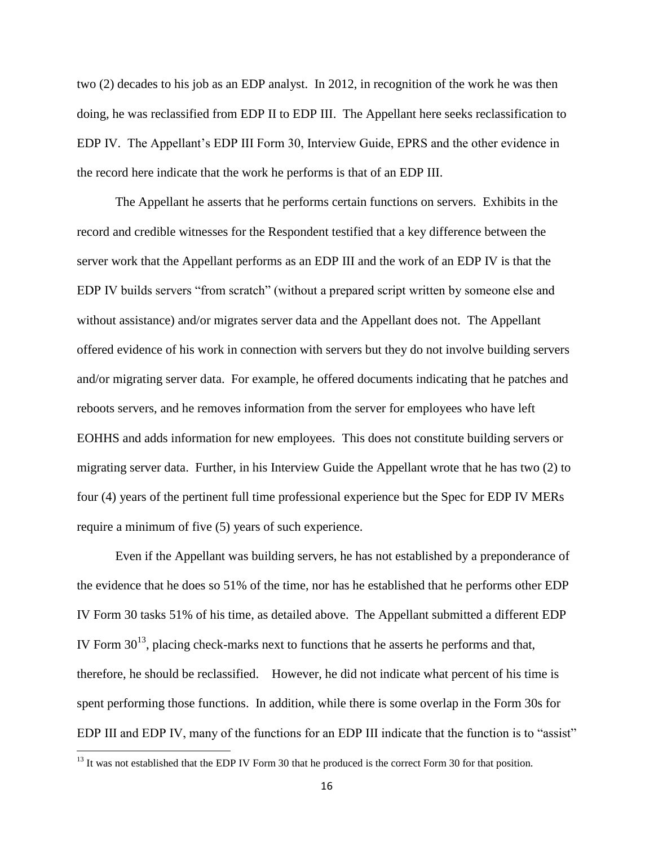two (2) decades to his job as an EDP analyst. In 2012, in recognition of the work he was then doing, he was reclassified from EDP II to EDP III. The Appellant here seeks reclassification to EDP IV. The Appellant's EDP III Form 30, Interview Guide, EPRS and the other evidence in the record here indicate that the work he performs is that of an EDP III.

The Appellant he asserts that he performs certain functions on servers. Exhibits in the record and credible witnesses for the Respondent testified that a key difference between the server work that the Appellant performs as an EDP III and the work of an EDP IV is that the EDP IV builds servers "from scratch" (without a prepared script written by someone else and without assistance) and/or migrates server data and the Appellant does not. The Appellant offered evidence of his work in connection with servers but they do not involve building servers and/or migrating server data. For example, he offered documents indicating that he patches and reboots servers, and he removes information from the server for employees who have left EOHHS and adds information for new employees. This does not constitute building servers or migrating server data. Further, in his Interview Guide the Appellant wrote that he has two (2) to four (4) years of the pertinent full time professional experience but the Spec for EDP IV MERs require a minimum of five (5) years of such experience.

Even if the Appellant was building servers, he has not established by a preponderance of the evidence that he does so 51% of the time, nor has he established that he performs other EDP IV Form 30 tasks 51% of his time, as detailed above. The Appellant submitted a different EDP IV Form  $30^{13}$ , placing check-marks next to functions that he asserts he performs and that, therefore, he should be reclassified. However, he did not indicate what percent of his time is spent performing those functions. In addition, while there is some overlap in the Form 30s for EDP III and EDP IV, many of the functions for an EDP III indicate that the function is to "assist"

<sup>&</sup>lt;sup>13</sup> It was not established that the EDP IV Form 30 that he produced is the correct Form 30 for that position.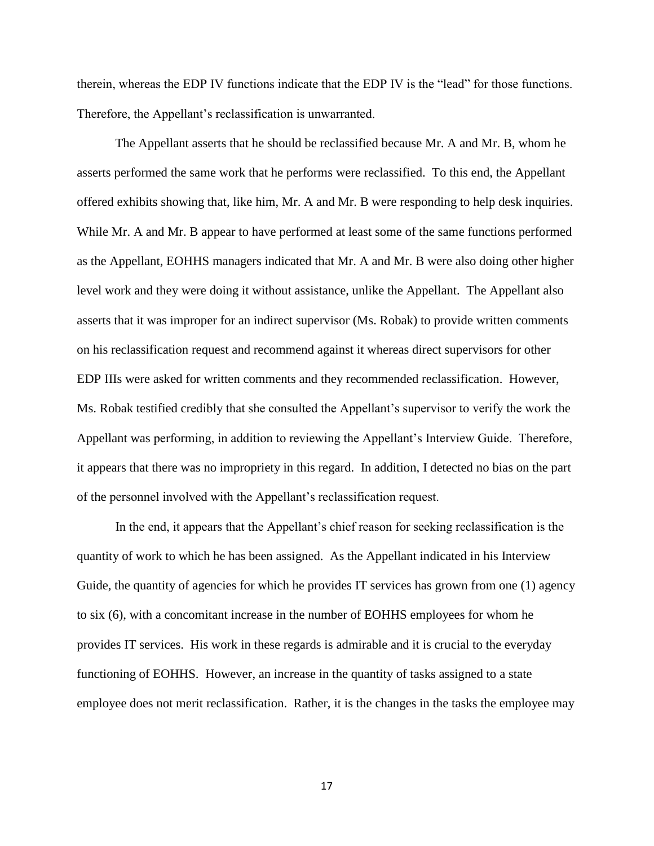therein, whereas the EDP IV functions indicate that the EDP IV is the "lead" for those functions. Therefore, the Appellant's reclassification is unwarranted.

The Appellant asserts that he should be reclassified because Mr. A and Mr. B, whom he asserts performed the same work that he performs were reclassified. To this end, the Appellant offered exhibits showing that, like him, Mr. A and Mr. B were responding to help desk inquiries. While Mr. A and Mr. B appear to have performed at least some of the same functions performed as the Appellant, EOHHS managers indicated that Mr. A and Mr. B were also doing other higher level work and they were doing it without assistance, unlike the Appellant. The Appellant also asserts that it was improper for an indirect supervisor (Ms. Robak) to provide written comments on his reclassification request and recommend against it whereas direct supervisors for other EDP IIIs were asked for written comments and they recommended reclassification. However, Ms. Robak testified credibly that she consulted the Appellant's supervisor to verify the work the Appellant was performing, in addition to reviewing the Appellant's Interview Guide. Therefore, it appears that there was no impropriety in this regard. In addition, I detected no bias on the part of the personnel involved with the Appellant's reclassification request.

In the end, it appears that the Appellant's chief reason for seeking reclassification is the quantity of work to which he has been assigned. As the Appellant indicated in his Interview Guide, the quantity of agencies for which he provides IT services has grown from one (1) agency to six (6), with a concomitant increase in the number of EOHHS employees for whom he provides IT services. His work in these regards is admirable and it is crucial to the everyday functioning of EOHHS. However, an increase in the quantity of tasks assigned to a state employee does not merit reclassification. Rather, it is the changes in the tasks the employee may

17